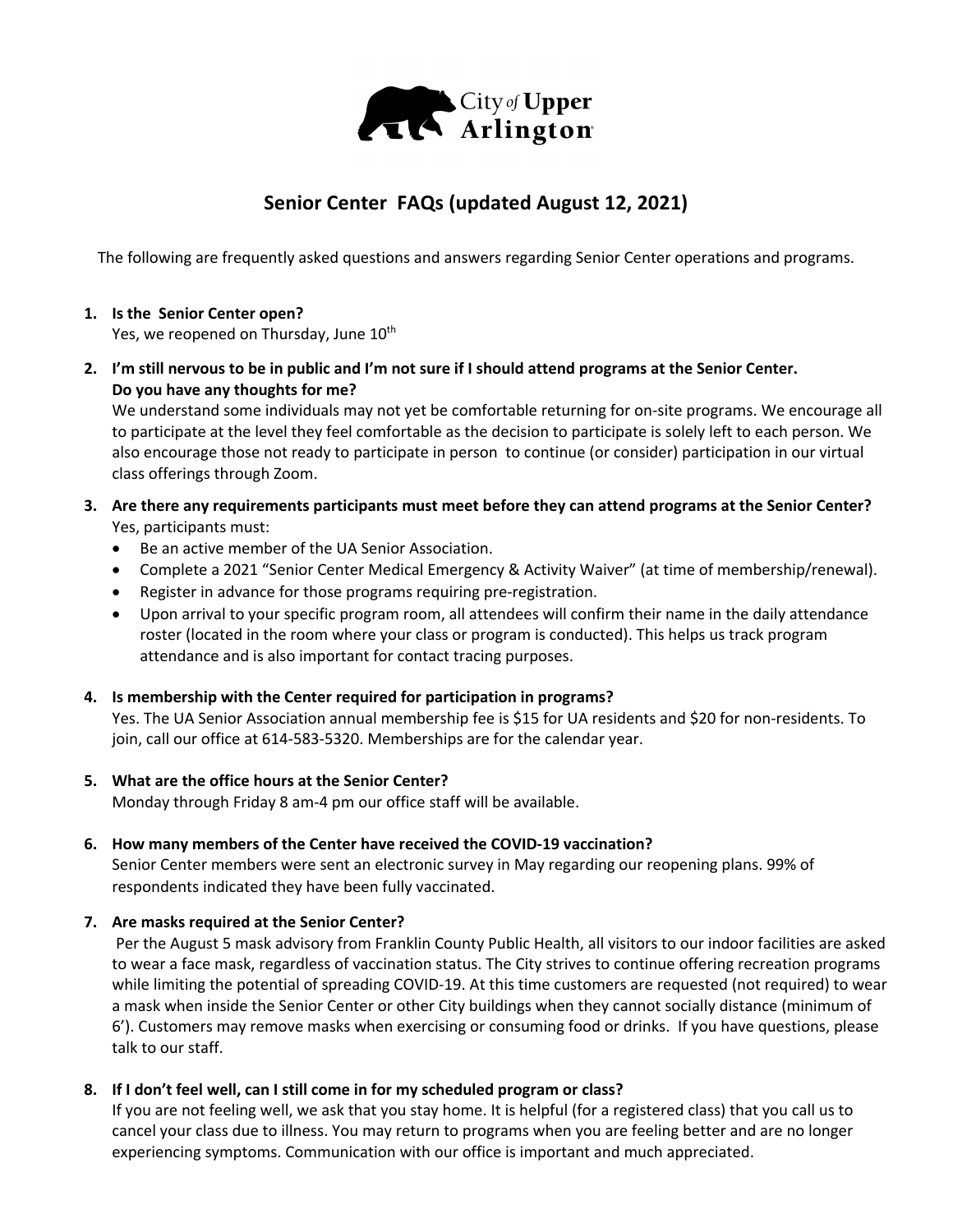

# **Senior Center FAQs (updated August 12, 2021)**

The following are frequently asked questions and answers regarding Senior Center operations and programs.

# **1. Is the Senior Center open?**

Yes, we reopened on Thursday, June 10<sup>th</sup>

**2. I'm still nervous to be in public and I'm not sure if I should attend programs at the Senior Center. Do you have any thoughts for me?**

We understand some individuals may not yet be comfortable returning for on-site programs. We encourage all to participate at the level they feel comfortable as the decision to participate is solely left to each person. We also encourage those not ready to participate in person to continue (or consider) participation in our virtual class offerings through Zoom.

# **3. Are there any requirements participants must meet before they can attend programs at the Senior Center?** Yes, participants must:

- Be an active member of the UA Senior Association.
- Complete a 2021 "Senior Center Medical Emergency & Activity Waiver" (at time of membership/renewal).
- Register in advance for those programs requiring pre-registration.
- Upon arrival to your specific program room, all attendees will confirm their name in the daily attendance roster (located in the room where your class or program is conducted). This helps us track program attendance and is also important for contact tracing purposes.

# **4. Is membership with the Center required for participation in programs?**

Yes. The UA Senior Association annual membership fee is \$15 for UA residents and \$20 for non-residents. To join, call our office at 614-583-5320. Memberships are for the calendar year.

#### **5. What are the office hours at the Senior Center?**

Monday through Friday 8 am-4 pm our office staff will be available.

#### **6. How many members of the Center have received the COVID-19 vaccination?**

Senior Center members were sent an electronic survey in May regarding our reopening plans. 99% of respondents indicated they have been fully vaccinated.

#### **7. Are masks required at the Senior Center?**

Per the August 5 mask advisory from Franklin County Public Health, all visitors to our indoor facilities are asked to wear a face mask, regardless of vaccination status. The City strives to continue offering recreation programs while limiting the potential of spreading COVID-19. At this time customers are requested (not required) to wear a mask when inside the Senior Center or other City buildings when they cannot socially distance (minimum of 6'). Customers may remove masks when exercising or consuming food or drinks. If you have questions, please talk to our staff.

# **8. If I don't feel well, can I still come in for my scheduled program or class?**

If you are not feeling well, we ask that you stay home. It is helpful (for a registered class) that you call us to cancel your class due to illness. You may return to programs when you are feeling better and are no longer experiencing symptoms. Communication with our office is important and much appreciated.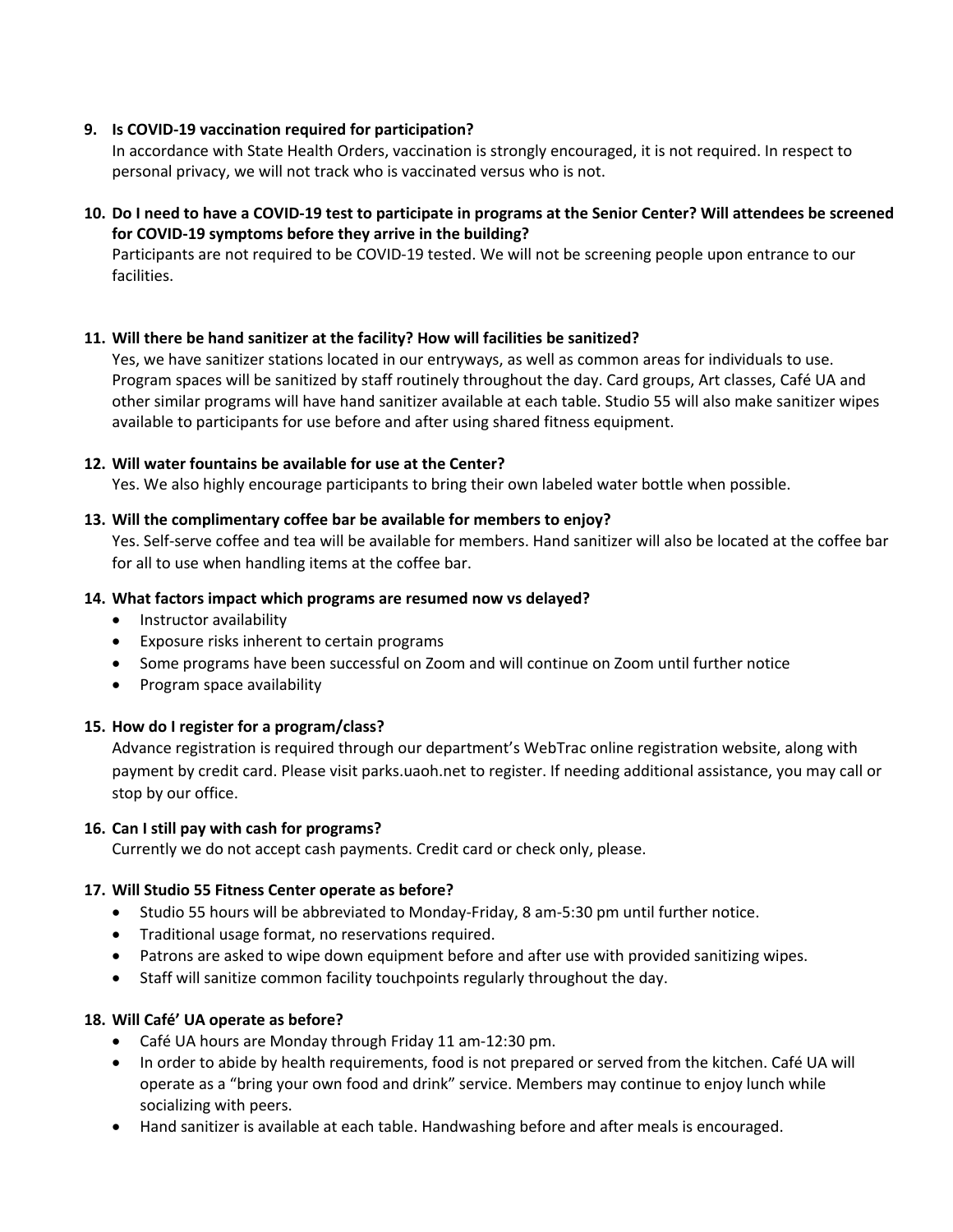## **9. Is COVID-19 vaccination required for participation?**

In accordance with State Health Orders, vaccination is strongly encouraged, it is not required. In respect to personal privacy, we will not track who is vaccinated versus who is not.

## **10. Do I need to have a COVID-19 test to participate in programs at the Senior Center? Will attendees be screened for COVID-19 symptoms before they arrive in the building?**

Participants are not required to be COVID-19 tested. We will not be screening people upon entrance to our facilities.

## **11. Will there be hand sanitizer at the facility? How will facilities be sanitized?**

Yes, we have sanitizer stations located in our entryways, as well as common areas for individuals to use. Program spaces will be sanitized by staff routinely throughout the day. Card groups, Art classes, Café UA and other similar programs will have hand sanitizer available at each table. Studio 55 will also make sanitizer wipes available to participants for use before and after using shared fitness equipment.

## **12. Will water fountains be available for use at the Center?**

Yes. We also highly encourage participants to bring their own labeled water bottle when possible.

## **13. Will the complimentary coffee bar be available for members to enjoy?**

Yes. Self-serve coffee and tea will be available for members. Hand sanitizer will also be located at the coffee bar for all to use when handling items at the coffee bar.

## **14. What factors impact which programs are resumed now vs delayed?**

- Instructor availability
- Exposure risks inherent to certain programs
- Some programs have been successful on Zoom and will continue on Zoom until further notice
- Program space availability

# **15. How do I register for a program/class?**

Advance registration is required through our department's WebTrac online registration website, along with payment by credit card. Please visit parks.uaoh.net to register. If needing additional assistance, you may call or stop by our office.

# **16. Can I still pay with cash for programs?**

Currently we do not accept cash payments. Credit card or check only, please.

# **17. Will Studio 55 Fitness Center operate as before?**

- Studio 55 hours will be abbreviated to Monday-Friday, 8 am-5:30 pm until further notice.
- Traditional usage format, no reservations required.
- Patrons are asked to wipe down equipment before and after use with provided sanitizing wipes.
- Staff will sanitize common facility touchpoints regularly throughout the day.

#### **18. Will Café' UA operate as before?**

- Café UA hours are Monday through Friday 11 am-12:30 pm.
- In order to abide by health requirements, food is not prepared or served from the kitchen. Café UA will operate as a "bring your own food and drink" service. Members may continue to enjoy lunch while socializing with peers.
- Hand sanitizer is available at each table. Handwashing before and after meals is encouraged.